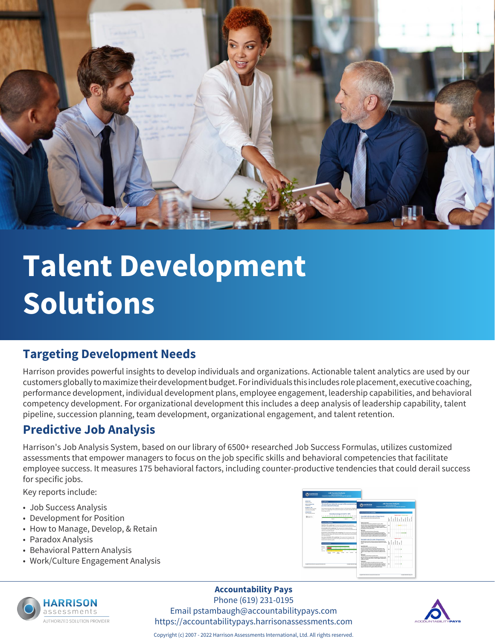

# **Talent Development Solutions**

#### **Targeting Development Needs**

Harrison provides powerful insights to develop individuals and organizations. Actionable talent analytics are used by our customers globally to maximize their development budget. For individuals this includes role placement, executive coaching, performance development, individual development plans, employee engagement, leadership capabilities, and behavioral competency development. For organizational development this includes a deep analysis of leadership capability, talent pipeline, succession planning, team development, organizational engagement, and talent retention.

### **Predictive Job Analysis**

Harrison's Job Analysis System, based on our library of 6500+ researched Job Success Formulas, utilizes customized assessments that empower managers to focus on the job specific skills and behavioral competencies that facilitate employee success. It measures 175 behavioral factors, including counter-productive tendencies that could derail success for specific jobs.

Key reports include:

- Job Success Analysis
- Development for Position
- How to Manage, Develop, & Retain
- Paradox Analysis
- Behavioral Pattern Analysis
- Work/Culture Engagement Analysis





#### **Accountability Pays**

Phone (619) 231-0195 Email pstambaugh@accountabilitypays.com https://accountabilitypays.harrisonassessments.com



Copyright (c) 2007 - 2022 Harrison Assessments International, Ltd. All rights reserved.